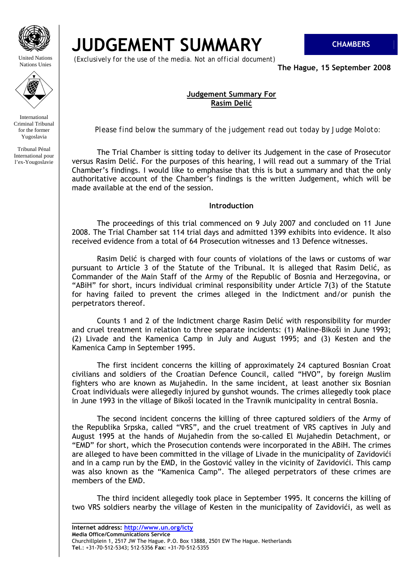

United Nations Nations Unies



International Criminal Tribunal for the former Yugoslavia

Tribunal Pénal International pour l'ex-Yougoslavie

# **JUDGEMENT SUMMARY CHAMBERS**

 *(Exclusively for the use of the media. Not an official document)*

**The Hague, 15 September 2008** 

# **Judgement Summary For Rasim Delić**

*Please find below the summary of the judgement read out today by Judge Moloto:* 

 The Trial Chamber is sitting today to deliver its Judgement in the case of Prosecutor versus Rasim Delić. For the purposes of this hearing, I will read out a summary of the Trial Chamber's findings. I would like to emphasise that this is but a summary and that the only authoritative account of the Chamber's findings is the written Judgement, which will be made available at the end of the session.

## **Introduction**

 The proceedings of this trial commenced on 9 July 2007 and concluded on 11 June 2008. The Trial Chamber sat 114 trial days and admitted 1399 exhibits into evidence. It also received evidence from a total of 64 Prosecution witnesses and 13 Defence witnesses.

 Rasim Delić is charged with four counts of violations of the laws or customs of war pursuant to Article 3 of the Statute of the Tribunal. It is alleged that Rasim Delić, as Commander of the Main Staff of the Army of the Republic of Bosnia and Herzegovina, or "ABiH" for short, incurs individual criminal responsibility under Article 7(3) of the Statute for having failed to prevent the crimes alleged in the Indictment and/or punish the perpetrators thereof.

 Counts 1 and 2 of the Indictment charge Rasim Delić with responsibility for murder and cruel treatment in relation to three separate incidents: (1) Maline-Bikoši in June 1993; (2) Livade and the Kamenica Camp in July and August 1995; and (3) Kesten and the Kamenica Camp in September 1995.

 The first incident concerns the killing of approximately 24 captured Bosnian Croat civilians and soldiers of the Croatian Defence Council, called "HVO", by foreign Muslim fighters who are known as Mujahedin. In the same incident, at least another six Bosnian Croat individuals were allegedly injured by gunshot wounds. The crimes allegedly took place in June 1993 in the village of Bikoši located in the Travnik municipality in central Bosnia.

 The second incident concerns the killing of three captured soldiers of the Army of the Republika Srpska, called "VRS", and the cruel treatment of VRS captives in July and August 1995 at the hands of Mujahedin from the so-called El Mujahedin Detachment, or "EMD" for short, which the Prosecution contends were incorporated in the ABiH. The crimes are alleged to have been committed in the village of Livade in the municipality of Zavidovići and in a camp run by the EMD, in the Gostović valley in the vicinity of Zavidovići. This camp was also known as the "Kamenica Camp". The alleged perpetrators of these crimes are members of the EMD.

 The third incident allegedly took place in September 1995. It concerns the killing of two VRS soldiers nearby the village of Kesten in the municipality of Zavidovići, as well as

**\_\_\_\_\_\_\_\_\_\_\_\_\_\_\_\_\_\_\_\_\_\_\_\_\_\_\_\_\_\_\_\_\_ Internet address: http://www.un.org/icty**

**Media Office/Communications Service**  Churchillplein 1, 2517 JW The Hague. P.O. Box 13888, 2501 EW The Hague. Netherlands **Tel**.: +31-70-512-5343; 512-5356 **Fax**: +31-70-512-5355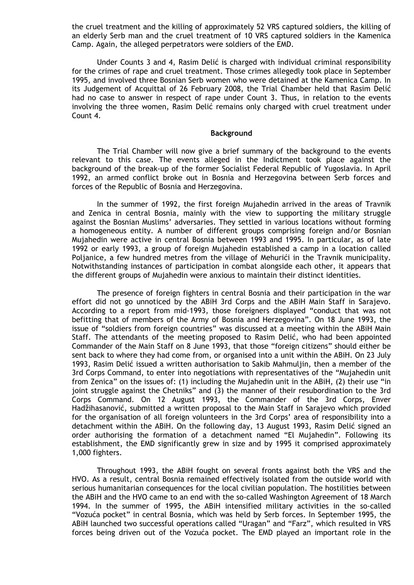the cruel treatment and the killing of approximately 52 VRS captured soldiers, the killing of an elderly Serb man and the cruel treatment of 10 VRS captured soldiers in the Kamenica Camp. Again, the alleged perpetrators were soldiers of the EMD.

 Under Counts 3 and 4, Rasim Delić is charged with individual criminal responsibility for the crimes of rape and cruel treatment. Those crimes allegedly took place in September 1995, and involved three Bosnian Serb women who were detained at the Kamenica Camp. In its Judgement of Acquittal of 26 February 2008, the Trial Chamber held that Rasim Delić had no case to answer in respect of rape under Count 3. Thus, in relation to the events involving the three women, Rasim Delić remains only charged with cruel treatment under Count 4.

### **Background**

 The Trial Chamber will now give a brief summary of the background to the events relevant to this case. The events alleged in the Indictment took place against the background of the break-up of the former Socialist Federal Republic of Yugoslavia. In April 1992, an armed conflict broke out in Bosnia and Herzegovina between Serb forces and forces of the Republic of Bosnia and Herzegovina.

 In the summer of 1992, the first foreign Mujahedin arrived in the areas of Travnik and Zenica in central Bosnia, mainly with the view to supporting the military struggle against the Bosnian Muslims' adversaries. They settled in various locations without forming a homogeneous entity. A number of different groups comprising foreign and/or Bosnian Mujahedin were active in central Bosnia between 1993 and 1995. In particular, as of late 1992 or early 1993, a group of foreign Mujahedin established a camp in a location called Polianice, a few hundred metres from the village of Mehurići in the Travnik municipality. Notwithstanding instances of participation in combat alongside each other, it appears that the different groups of Mujahedin were anxious to maintain their distinct identities.

 The presence of foreign fighters in central Bosnia and their participation in the war effort did not go unnoticed by the ABiH 3rd Corps and the ABiH Main Staff in Sarajevo. According to a report from mid-1993, those foreigners displayed "conduct that was not befitting that of members of the Army of Bosnia and Herzegovina". On 18 June 1993, the issue of "soldiers from foreign countries" was discussed at a meeting within the ABiH Main Staff. The attendants of the meeting proposed to Rasim Delić, who had been appointed Commander of the Main Staff on 8 June 1993, that those "foreign citizens" should either be sent back to where they had come from, or organised into a unit within the ABiH. On 23 July 1993, Rasim Delić issued a written authorisation to Sakib Mahmuljin, then a member of the 3rd Corps Command, to enter into negotiations with representatives of the "Mujahedin unit from Zenica" on the issues of: (1) including the Mujahedin unit in the ABiH, (2) their use "in joint struggle against the Chetniks" and (3) the manner of their resubordination to the 3rd Corps Command. On 12 August 1993, the Commander of the 3rd Corps, Enver Hadžihasanović, submitted a written proposal to the Main Staff in Sarajevo which provided for the organisation of all foreign volunteers in the 3rd Corps' area of responsibility into a detachment within the ABiH. On the following day, 13 August 1993, Rasim Delić signed an order authorising the formation of a detachment named "El Mujahedin". Following its establishment, the EMD significantly grew in size and by 1995 it comprised approximately 1,000 fighters.

 Throughout 1993, the ABiH fought on several fronts against both the VRS and the HVO. As a result, central Bosnia remained effectively isolated from the outside world with serious humanitarian consequences for the local civilian population. The hostilities between the ABiH and the HVO came to an end with the so-called Washington Agreement of 18 March 1994. In the summer of 1995, the ABiH intensified military activities in the so-called "Vozuća pocket" in central Bosnia, which was held by Serb forces. In September 1995, the ABiH launched two successful operations called "Uragan" and "Farz", which resulted in VRS forces being driven out of the Vozuća pocket. The EMD played an important role in the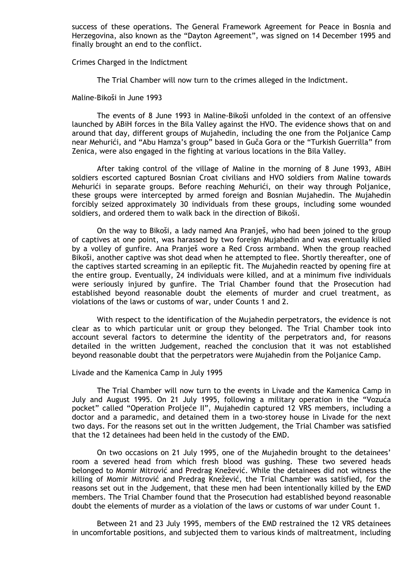success of these operations. The General Framework Agreement for Peace in Bosnia and Herzegovina, also known as the "Dayton Agreement", was signed on 14 December 1995 and finally brought an end to the conflict.

#### Crimes Charged in the Indictment

The Trial Chamber will now turn to the crimes alleged in the Indictment.

#### Maline-Bikoši in June 1993

 The events of 8 June 1993 in Maline-Bikoši unfolded in the context of an offensive launched by ABiH forces in the Bila Valley against the HVO. The evidence shows that on and around that day, different groups of Mujahedin, including the one from the Poljanice Camp near Mehurići, and "Abu Hamza's group" based in Guča Gora or the "Turkish Guerrilla" from Zenica, were also engaged in the fighting at various locations in the Bila Valley.

 After taking control of the village of Maline in the morning of 8 June 1993, ABiH soldiers escorted captured Bosnian Croat civilians and HVO soldiers from Maline towards Mehurići in separate groups. Before reaching Mehurići, on their way through Poljanice, these groups were intercepted by armed foreign and Bosnian Mujahedin. The Mujahedin forcibly seized approximately 30 individuals from these groups, including some wounded soldiers, and ordered them to walk back in the direction of Bikoši.

 On the way to Bikoši, a lady named Ana Pranješ, who had been joined to the group of captives at one point, was harassed by two foreign Mujahedin and was eventually killed by a volley of gunfire. Ana Pranješ wore a Red Cross armband. When the group reached Bikoši, another captive was shot dead when he attempted to flee. Shortly thereafter, one of the captives started screaming in an epileptic fit. The Mujahedin reacted by opening fire at the entire group. Eventually, 24 individuals were killed, and at a minimum five individuals were seriously injured by gunfire. The Trial Chamber found that the Prosecution had established beyond reasonable doubt the elements of murder and cruel treatment, as violations of the laws or customs of war, under Counts 1 and 2.

 With respect to the identification of the Mujahedin perpetrators, the evidence is not clear as to which particular unit or group they belonged. The Trial Chamber took into account several factors to determine the identity of the perpetrators and, for reasons detailed in the written Judgement, reached the conclusion that it was not established beyond reasonable doubt that the perpetrators were Mujahedin from the Poljanice Camp.

#### Livade and the Kamenica Camp in July 1995

 The Trial Chamber will now turn to the events in Livade and the Kamenica Camp in July and August 1995. On 21 July 1995, following a military operation in the "Vozuća pocket" called "Operation Proljeće II", Mujahedin captured 12 VRS members, including a doctor and a paramedic, and detained them in a two-storey house in Livade for the next two days. For the reasons set out in the written Judgement, the Trial Chamber was satisfied that the 12 detainees had been held in the custody of the EMD.

 On two occasions on 21 July 1995, one of the Mujahedin brought to the detainees' room a severed head from which fresh blood was gushing. These two severed heads belonged to Momir Mitrović and Predrag Knežević. While the detainees did not witness the killing of Momir Mitrović and Predrag Knežević, the Trial Chamber was satisfied, for the reasons set out in the Judgement, that these men had been intentionally killed by the EMD members. The Trial Chamber found that the Prosecution had established beyond reasonable doubt the elements of murder as a violation of the laws or customs of war under Count 1.

 Between 21 and 23 July 1995, members of the EMD restrained the 12 VRS detainees in uncomfortable positions, and subjected them to various kinds of maltreatment, including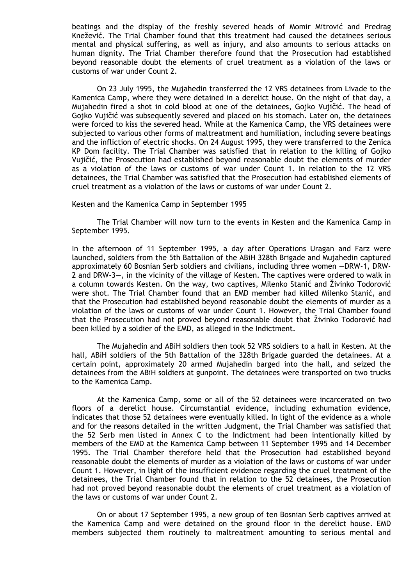beatings and the display of the freshly severed heads of Momir Mitrović and Predrag Knežević. The Trial Chamber found that this treatment had caused the detainees serious mental and physical suffering, as well as injury, and also amounts to serious attacks on human dignity. The Trial Chamber therefore found that the Prosecution had established beyond reasonable doubt the elements of cruel treatment as a violation of the laws or customs of war under Count 2.

 On 23 July 1995, the Mujahedin transferred the 12 VRS detainees from Livade to the Kamenica Camp, where they were detained in a derelict house. On the night of that day, a Mujahedin fired a shot in cold blood at one of the detainees, Gojko Vujičić. The head of Gojko Vujičić was subsequently severed and placed on his stomach. Later on, the detainees were forced to kiss the severed head. While at the Kamenica Camp, the VRS detainees were subjected to various other forms of maltreatment and humiliation, including severe beatings and the infliction of electric shocks. On 24 August 1995, they were transferred to the Zenica KP Dom facility. The Trial Chamber was satisfied that in relation to the killing of Gojko Vujičić, the Prosecution had established beyond reasonable doubt the elements of murder as a violation of the laws or customs of war under Count 1. In relation to the 12 VRS detainees, the Trial Chamber was satisfied that the Prosecution had established elements of cruel treatment as a violation of the laws or customs of war under Count 2.

Kesten and the Kamenica Camp in September 1995

 The Trial Chamber will now turn to the events in Kesten and the Kamenica Camp in September 1995.

In the afternoon of 11 September 1995, a day after Operations Uragan and Farz were launched, soldiers from the 5th Battalion of the ABiH 328th Brigade and Mujahedin captured approximately 60 Bosnian Serb soldiers and civilians, including three women —DRW-1, DRW-2 and DRW-3—, in the vicinity of the village of Kesten. The captives were ordered to walk in a column towards Kesten. On the way, two captives, Milenko Stanić and Živinko Todorović were shot. The Trial Chamber found that an EMD member had killed Milenko Stanić, and that the Prosecution had established beyond reasonable doubt the elements of murder as a violation of the laws or customs of war under Count 1. However, the Trial Chamber found that the Prosecution had not proved beyond reasonable doubt that Živinko Todorović had been killed by a soldier of the EMD, as alleged in the Indictment.

 The Mujahedin and ABiH soldiers then took 52 VRS soldiers to a hall in Kesten. At the hall, ABiH soldiers of the 5th Battalion of the 328th Brigade guarded the detainees. At a certain point, approximately 20 armed Mujahedin barged into the hall, and seized the detainees from the ABiH soldiers at gunpoint. The detainees were transported on two trucks to the Kamenica Camp.

 At the Kamenica Camp, some or all of the 52 detainees were incarcerated on two floors of a derelict house. Circumstantial evidence, including exhumation evidence, indicates that those 52 detainees were eventually killed. In light of the evidence as a whole and for the reasons detailed in the written Judgment, the Trial Chamber was satisfied that the 52 Serb men listed in Annex C to the Indictment had been intentionally killed by members of the EMD at the Kamenica Camp between 11 September 1995 and 14 December 1995. The Trial Chamber therefore held that the Prosecution had established beyond reasonable doubt the elements of murder as a violation of the laws or customs of war under Count 1. However, in light of the insufficient evidence regarding the cruel treatment of the detainees, the Trial Chamber found that in relation to the 52 detainees, the Prosecution had not proved beyond reasonable doubt the elements of cruel treatment as a violation of the laws or customs of war under Count 2.

 On or about 17 September 1995, a new group of ten Bosnian Serb captives arrived at the Kamenica Camp and were detained on the ground floor in the derelict house. EMD members subjected them routinely to maltreatment amounting to serious mental and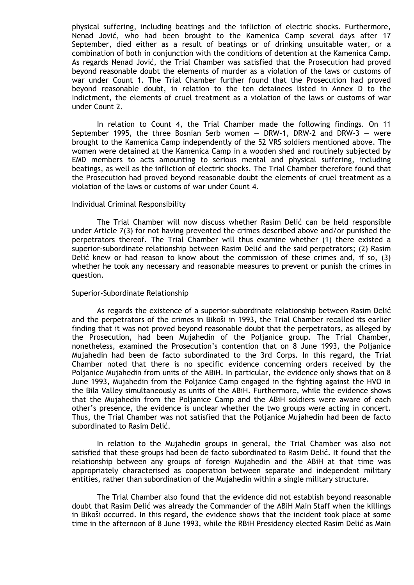physical suffering, including beatings and the infliction of electric shocks. Furthermore, Nenad Jović, who had been brought to the Kamenica Camp several days after 17 September, died either as a result of beatings or of drinking unsuitable water, or a combination of both in conjunction with the conditions of detention at the Kamenica Camp. As regards Nenad Jović, the Trial Chamber was satisfied that the Prosecution had proved beyond reasonable doubt the elements of murder as a violation of the laws or customs of war under Count 1. The Trial Chamber further found that the Prosecution had proved beyond reasonable doubt, in relation to the ten detainees listed in Annex D to the Indictment, the elements of cruel treatment as a violation of the laws or customs of war under Count 2.

 In relation to Count 4, the Trial Chamber made the following findings. On 11 September 1995, the three Bosnian Serb women  $-$  DRW-1, DRW-2 and DRW-3  $-$  were brought to the Kamenica Camp independently of the 52 VRS soldiers mentioned above. The women were detained at the Kamenica Camp in a wooden shed and routinely subjected by EMD members to acts amounting to serious mental and physical suffering, including beatings, as well as the infliction of electric shocks. The Trial Chamber therefore found that the Prosecution had proved beyond reasonable doubt the elements of cruel treatment as a violation of the laws or customs of war under Count 4.

#### Individual Criminal Responsibility

 The Trial Chamber will now discuss whether Rasim Delić can be held responsible under Article 7(3) for not having prevented the crimes described above and/or punished the perpetrators thereof. The Trial Chamber will thus examine whether (1) there existed a superior-subordinate relationship between Rasim Delić and the said perpetrators; (2) Rasim Delić knew or had reason to know about the commission of these crimes and, if so, (3) whether he took any necessary and reasonable measures to prevent or punish the crimes in question.

#### Superior-Subordinate Relationship

 As regards the existence of a superior-subordinate relationship between Rasim Delić and the perpetrators of the crimes in Bikoši in 1993, the Trial Chamber recalled its earlier finding that it was not proved beyond reasonable doubt that the perpetrators, as alleged by the Prosecution, had been Mujahedin of the Poljanice group. The Trial Chamber, nonetheless, examined the Prosecution's contention that on 8 June 1993, the Poljanice Mujahedin had been de facto subordinated to the 3rd Corps. In this regard, the Trial Chamber noted that there is no specific evidence concerning orders received by the Poljanice Mujahedin from units of the ABiH. In particular, the evidence only shows that on 8 June 1993, Mujahedin from the Poljanice Camp engaged in the fighting against the HVO in the Bila Valley simultaneously as units of the ABiH. Furthermore, while the evidence shows that the Mujahedin from the Poljanice Camp and the ABiH soldiers were aware of each other's presence, the evidence is unclear whether the two groups were acting in concert. Thus, the Trial Chamber was not satisfied that the Poljanice Mujahedin had been de facto subordinated to Rasim Delić.

 In relation to the Mujahedin groups in general, the Trial Chamber was also not satisfied that these groups had been de facto subordinated to Rasim Delić. It found that the relationship between any groups of foreign Mujahedin and the ABiH at that time was appropriately characterised as cooperation between separate and independent military entities, rather than subordination of the Mujahedin within a single military structure.

 The Trial Chamber also found that the evidence did not establish beyond reasonable doubt that Rasim Delić was already the Commander of the ABiH Main Staff when the killings in Bikoši occurred. In this regard, the evidence shows that the incident took place at some time in the afternoon of 8 June 1993, while the RBiH Presidency elected Rasim Delić as Main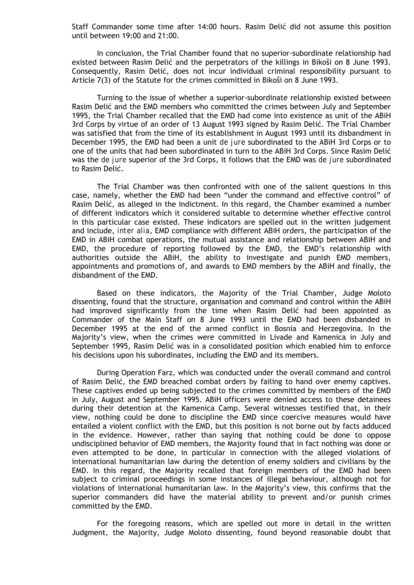Staff Commander some time after 14:00 hours. Rasim Delić did not assume this position until between 19:00 and 21:00.

 In conclusion, the Trial Chamber found that no superior-subordinate relationship had existed between Rasim Delić and the perpetrators of the killings in Bikoši on 8 June 1993. Consequently, Rasim Delić, does not incur individual criminal responsibility pursuant to Article 7(3) of the Statute for the crimes committed in Bikoši on 8 June 1993.

 Turning to the issue of whether a superior-subordinate relationship existed between Rasim Delić and the EMD members who committed the crimes between July and September 1995, the Trial Chamber recalled that the EMD had come into existence as unit of the ABiH 3rd Corps by virtue of an order of 13 August 1993 signed by Rasim Delić. The Trial Chamber was satisfied that from the time of its establishment in August 1993 until its disbandment in December 1995, the EMD had been a unit *de jure* subordinated to the ABiH 3rd Corps or to one of the units that had been subordinated in turn to the ABiH 3rd Corps. Since Rasim Delić was the *de jure* superior of the 3rd Corps, it follows that the EMD was *de jure* subordinated to Rasim Delić.

 The Trial Chamber was then confronted with one of the salient questions in this case, namely, whether the EMD had been "under the command and effective control" of Rasim Delić, as alleged in the Indictment. In this regard, the Chamber examined a number of different indicators which it considered suitable to determine whether effective control in this particular case existed. These indicators are spelled out in the written judgement and include, *inter alia*, EMD compliance with different ABiH orders, the participation of the EMD in ABiH combat operations, the mutual assistance and relationship between ABiH and EMD, the procedure of reporting followed by the EMD, the EMD's relationship with authorities outside the ABiH, the ability to investigate and punish EMD members, appointments and promotions of, and awards to EMD members by the ABiH and finally, the disbandment of the EMD.

 Based on these indicators, the Majority of the Trial Chamber, Judge Moloto dissenting, found that the structure, organisation and command and control within the ABiH had improved significantly from the time when Rasim Delić had been appointed as Commander of the Main Staff on 8 June 1993 until the EMD had been disbanded in December 1995 at the end of the armed conflict in Bosnia and Herzegovina. In the Majority's view, when the crimes were committed in Livade and Kamenica in July and September 1995, Rasim Delić was in a consolidated position which enabled him to enforce his decisions upon his subordinates, including the EMD and its members.

 During Operation Farz, which was conducted under the overall command and control of Rasim Delić, the EMD breached combat orders by failing to hand over enemy captives. These captives ended up being subjected to the crimes committed by members of the EMD in July, August and September 1995. ABiH officers were denied access to these detainees during their detention at the Kamenica Camp. Several witnesses testified that, in their view, nothing could be done to discipline the EMD since coercive measures would have entailed a violent conflict with the EMD, but this position is not borne out by facts adduced in the evidence. However, rather than saying that nothing could be done to oppose undisciplined behavior of EMD members, the Majority found that in fact nothing was done or even attempted to be done, in particular in connection with the alleged violations of international humanitarian law during the detention of enemy soldiers and civilians by the EMD. In this regard, the Majority recalled that foreign members of the EMD had been subject to criminal proceedings in some instances of illegal behaviour, although not for violations of international humanitarian law. In the Majority's view, this confirms that the superior commanders did have the material ability to prevent and/or punish crimes committed by the EMD.

 For the foregoing reasons, which are spelled out more in detail in the written Judgment, the Majority, Judge Moloto dissenting, found beyond reasonable doubt that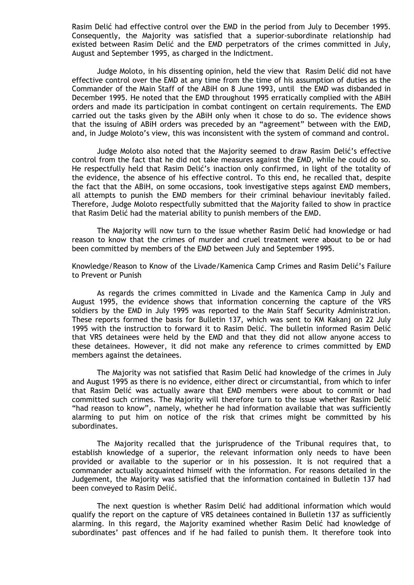Rasim Delić had effective control over the EMD in the period from July to December 1995. Consequently, the Majority was satisfied that a superior-subordinate relationship had existed between Rasim Delić and the EMD perpetrators of the crimes committed in July, August and September 1995, as charged in the Indictment.

 Judge Moloto, in his dissenting opinion, held the view that Rasim Delić did not have effective control over the EMD at any time from the time of his assumption of duties as the Commander of the Main Staff of the ABiH on 8 June 1993, until the EMD was disbanded in December 1995. He noted that the EMD throughout 1995 erratically complied with the ABiH orders and made its participation in combat contingent on certain requirements. The EMD carried out the tasks given by the ABiH only when it chose to do so. The evidence shows that the issuing of ABiH orders was preceded by an "agreement" between with the EMD, and, in Judge Moloto's view, this was inconsistent with the system of command and control.

 Judge Moloto also noted that the Majority seemed to draw Rasim Delić's effective control from the fact that he did not take measures against the EMD, while he could do so. He respectfully held that Rasim Delić's inaction only confirmed, in light of the totality of the evidence, the absence of his effective control. To this end, he recalled that, despite the fact that the ABiH, on some occasions, took investigative steps against EMD members, all attempts to punish the EMD members for their criminal behaviour inevitably failed. Therefore, Judge Moloto respectfully submitted that the Majority failed to show in practice that Rasim Delić had the material ability to punish members of the EMD.

 The Majority will now turn to the issue whether Rasim Delić had knowledge or had reason to know that the crimes of murder and cruel treatment were about to be or had been committed by members of the EMD between July and September 1995.

Knowledge/Reason to Know of the Livade/Kamenica Camp Crimes and Rasim Delić's Failure to Prevent or Punish

 As regards the crimes committed in Livade and the Kamenica Camp in July and August 1995, the evidence shows that information concerning the capture of the VRS soldiers by the EMD in July 1995 was reported to the Main Staff Security Administration. These reports formed the basis for Bulletin 137, which was sent to KM Kakanj on 22 July 1995 with the instruction to forward it to Rasim Delić. The bulletin informed Rasim Delić that VRS detainees were held by the EMD and that they did not allow anyone access to these detainees. However, it did not make any reference to crimes committed by EMD members against the detainees.

 The Majority was not satisfied that Rasim Delić had knowledge of the crimes in July and August 1995 as there is no evidence, either direct or circumstantial, from which to infer that Rasim Delić was actually aware that EMD members were about to commit or had committed such crimes. The Majority will therefore turn to the issue whether Rasim Delić "had reason to know", namely, whether he had information available that was sufficiently alarming to put him on notice of the risk that crimes might be committed by his subordinates.

 The Majority recalled that the jurisprudence of the Tribunal requires that, to establish knowledge of a superior, the relevant information only needs to have been provided or available to the superior or in his possession. It is not required that a commander actually acquainted himself with the information. For reasons detailed in the Judgement, the Majority was satisfied that the information contained in Bulletin 137 had been conveyed to Rasim Delić.

 The next question is whether Rasim Delić had additional information which would qualify the report on the capture of VRS detainees contained in Bulletin 137 as sufficiently alarming. In this regard, the Majority examined whether Rasim Delić had knowledge of subordinates' past offences and if he had failed to punish them. It therefore took into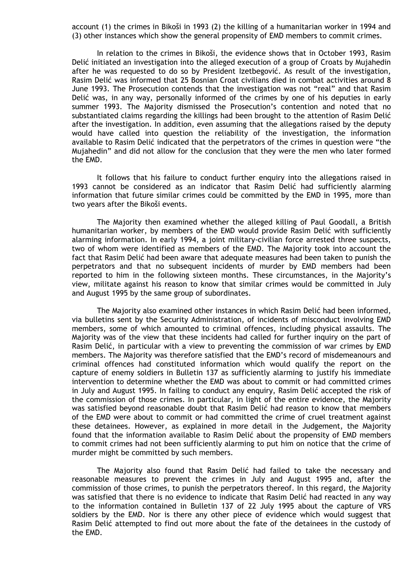account (1) the crimes in Bikoši in 1993 (2) the killing of a humanitarian worker in 1994 and (3) other instances which show the general propensity of EMD members to commit crimes.

 In relation to the crimes in Bikoši, the evidence shows that in October 1993, Rasim Delić initiated an investigation into the alleged execution of a group of Croats by Mujahedin after he was requested to do so by President Izetbegović. As result of the investigation, Rasim Delić was informed that 25 Bosnian Croat civilians died in combat activities around 8 June 1993. The Prosecution contends that the investigation was not "real" and that Rasim Delić was, in any way, personally informed of the crimes by one of his deputies in early summer 1993. The Majority dismissed the Prosecution's contention and noted that no substantiated claims regarding the killings had been brought to the attention of Rasim Delić after the investigation. In addition, even assuming that the allegations raised by the deputy would have called into question the reliability of the investigation, the information available to Rasim Delić indicated that the perpetrators of the crimes in question were "the Mujahedin" and did not allow for the conclusion that they were the men who later formed the EMD.

 It follows that his failure to conduct further enquiry into the allegations raised in 1993 cannot be considered as an indicator that Rasim Delić had sufficiently alarming information that future similar crimes could be committed by the EMD in 1995, more than two years after the Bikoši events.

 The Majority then examined whether the alleged killing of Paul Goodall, a British humanitarian worker, by members of the EMD would provide Rasim Delić with sufficiently alarming information. In early 1994, a joint military-civilian force arrested three suspects, two of whom were identified as members of the EMD. The Majority took into account the fact that Rasim Delić had been aware that adequate measures had been taken to punish the perpetrators and that no subsequent incidents of murder by EMD members had been reported to him in the following sixteen months. These circumstances, in the Majority's view, militate against his reason to know that similar crimes would be committed in July and August 1995 by the same group of subordinates.

 The Majority also examined other instances in which Rasim Delić had been informed, via bulletins sent by the Security Administration, of incidents of misconduct involving EMD members, some of which amounted to criminal offences, including physical assaults. The Majority was of the view that these incidents had called for further inquiry on the part of Rasim Delić, in particular with a view to preventing the commission of war crimes by EMD members. The Majority was therefore satisfied that the EMD's record of misdemeanours and criminal offences had constituted information which would qualify the report on the capture of enemy soldiers in Bulletin 137 as sufficiently alarming to justify his immediate intervention to determine whether the EMD was about to commit or had committed crimes in July and August 1995. In failing to conduct any enquiry, Rasim Delić accepted the risk of the commission of those crimes. In particular, in light of the entire evidence, the Majority was satisfied beyond reasonable doubt that Rasim Delić had reason to know that members of the EMD were about to commit or had committed the crime of cruel treatment against these detainees. However, as explained in more detail in the Judgement, the Majority found that the information available to Rasim Delić about the propensity of EMD members to commit crimes had not been sufficiently alarming to put him on notice that the crime of murder might be committed by such members.

 The Majority also found that Rasim Delić had failed to take the necessary and reasonable measures to prevent the crimes in July and August 1995 and, after the commission of those crimes, to punish the perpetrators thereof. In this regard, the Majority was satisfied that there is no evidence to indicate that Rasim Delić had reacted in any way to the information contained in Bulletin 137 of 22 July 1995 about the capture of VRS soldiers by the EMD. Nor is there any other piece of evidence which would suggest that Rasim Delić attempted to find out more about the fate of the detainees in the custody of the EMD.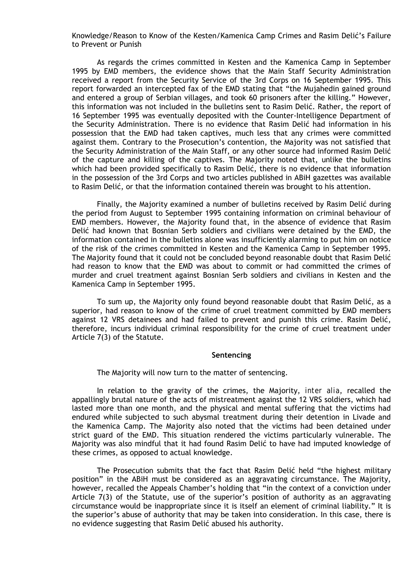Knowledge/Reason to Know of the Kesten/Kamenica Camp Crimes and Rasim Delić's Failure to Prevent or Punish

 As regards the crimes committed in Kesten and the Kamenica Camp in September 1995 by EMD members, the evidence shows that the Main Staff Security Administration received a report from the Security Service of the 3rd Corps on 16 September 1995. This report forwarded an intercepted fax of the EMD stating that "the Mujahedin gained ground and entered a group of Serbian villages, and took 60 prisoners after the killing." However, this information was not included in the bulletins sent to Rasim Delić. Rather, the report of 16 September 1995 was eventually deposited with the Counter-Intelligence Department of the Security Administration. There is no evidence that Rasim Delić had information in his possession that the EMD had taken captives, much less that any crimes were committed against them. Contrary to the Prosecution's contention, the Majority was not satisfied that the Security Administration of the Main Staff, or any other source had informed Rasim Delić of the capture and killing of the captives. The Majority noted that, unlike the bulletins which had been provided specifically to Rasim Delić, there is no evidence that information in the possession of the 3rd Corps and two articles published in ABiH gazettes was available to Rasim Delić, or that the information contained therein was brought to his attention.

 Finally, the Majority examined a number of bulletins received by Rasim Delić during the period from August to September 1995 containing information on criminal behaviour of EMD members. However, the Majority found that, in the absence of evidence that Rasim Delić had known that Bosnian Serb soldiers and civilians were detained by the EMD, the information contained in the bulletins alone was insufficiently alarming to put him on notice of the risk of the crimes committed in Kesten and the Kamenica Camp in September 1995. The Majority found that it could not be concluded beyond reasonable doubt that Rasim Delić had reason to know that the EMD was about to commit or had committed the crimes of murder and cruel treatment against Bosnian Serb soldiers and civilians in Kesten and the Kamenica Camp in September 1995.

 To sum up, the Majority only found beyond reasonable doubt that Rasim Delić, as a superior, had reason to know of the crime of cruel treatment committed by EMD members against 12 VRS detainees and had failed to prevent and punish this crime. Rasim Delić, therefore, incurs individual criminal responsibility for the crime of cruel treatment under Article 7(3) of the Statute.

#### **Sentencing**

The Majority will now turn to the matter of sentencing.

 In relation to the gravity of the crimes, the Majority, *inter alia*, recalled the appallingly brutal nature of the acts of mistreatment against the 12 VRS soldiers, which had lasted more than one month, and the physical and mental suffering that the victims had endured while subjected to such abysmal treatment during their detention in Livade and the Kamenica Camp. The Majority also noted that the victims had been detained under strict guard of the EMD. This situation rendered the victims particularly vulnerable. The Majority was also mindful that it had found Rasim Delić to have had imputed knowledge of these crimes, as opposed to actual knowledge.

 The Prosecution submits that the fact that Rasim Delić held "the highest military position" in the ABiH must be considered as an aggravating circumstance. The Majority, however, recalled the Appeals Chamber's holding that "in the context of a conviction under Article 7(3) of the Statute, use of the superior's position of authority as an aggravating circumstance would be inappropriate since it is itself an element of criminal liability." It is the superior's abuse of authority that may be taken into consideration. In this case, there is no evidence suggesting that Rasim Delić abused his authority.